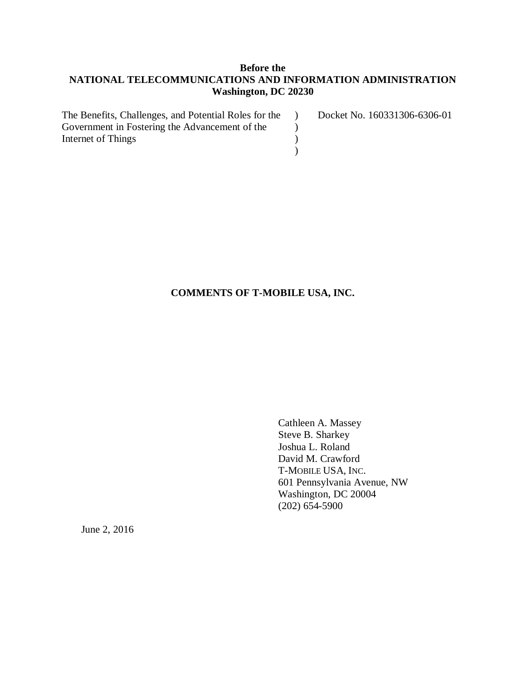## **Before the NATIONAL TELECOMMUNICATIONS AND INFORMATION ADMINISTRATION Washington, DC 20230**

| The Benefits, Challenges, and Potential Roles for the | Docket No. 160331306-6306-01 |
|-------------------------------------------------------|------------------------------|
| Government in Fostering the Advancement of the        |                              |
| Internet of Things                                    |                              |
|                                                       |                              |

## **COMMENTS OF T-MOBILE USA, INC.**

Cathleen A. Massey Steve B. Sharkey Joshua L. Roland David M. Crawford T-MOBILE USA, INC. 601 Pennsylvania Avenue, NW Washington, DC 20004 (202) 654-5900

June 2, 2016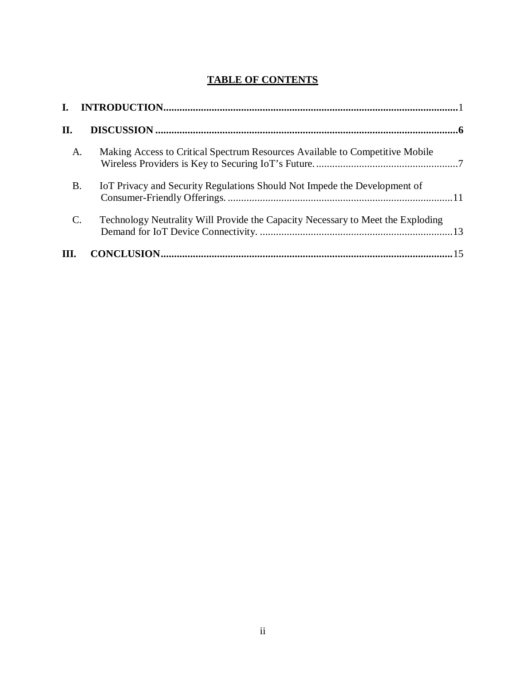# **TABLE OF CONTENTS**

| II.       |                                                                                 |
|-----------|---------------------------------------------------------------------------------|
| A.        | Making Access to Critical Spectrum Resources Available to Competitive Mobile    |
| <b>B.</b> | IoT Privacy and Security Regulations Should Not Impede the Development of       |
| C.        | Technology Neutrality Will Provide the Capacity Necessary to Meet the Exploding |
| III.      |                                                                                 |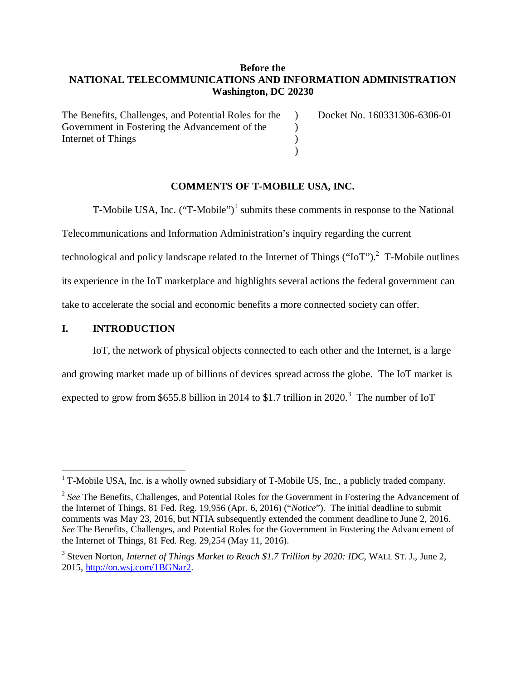## **Before the NATIONAL TELECOMMUNICATIONS AND INFORMATION ADMINISTRATION Washington, DC 20230**

 $\lambda$  $\mathcal{L}$ ) )

The Benefits, Challenges, and Potential Roles for the Government in Fostering the Advancement of the Internet of Things

Docket No. 160331306-6306-01

### **COMMENTS OF T-MOBILE USA, INC.**

T-Mobile USA, Inc. ("T-Mobile")<sup>1</sup> submits these comments in response to the National

Telecommunications and Information Administration's inquiry regarding the current

technological and policy landscape related to the Internet of Things ("IoT").<sup>2</sup> T-Mobile outlines

its experience in the IoT marketplace and highlights several actions the federal government can

take to accelerate the social and economic benefits a more connected society can offer.

## **I. INTRODUCTION**

IoT, the network of physical objects connected to each other and the Internet, is a large and growing market made up of billions of devices spread across the globe. The IoT market is expected to grow from \$655.8 billion in 2014 to \$1.7 trillion in 2020.<sup>3</sup> The number of IoT

T-Mobile USA, Inc. is a wholly owned subsidiary of T-Mobile US, Inc., a publicly traded company.

<sup>&</sup>lt;sup>2</sup> See The Benefits, Challenges, and Potential Roles for the Government in Fostering the Advancement of the Internet of Things, 81 Fed. Reg. 19,956 (Apr. 6, 2016) ("*Notice*"). The initial deadline to submit comments was May 23, 2016, but NTIA subsequently extended the comment deadline to June 2, 2016. *See* The Benefits, Challenges, and Potential Roles for the Government in Fostering the Advancement of the Internet of Things, 81 Fed. Reg. 29,254 (May 11, 2016).

<sup>&</sup>lt;sup>3</sup> Steven Norton, *Internet of Things Market to Reach \$1.7 Trillion by 2020: IDC*, WALL ST. J., June 2, 2015, http://on.wsj.com/1BGNar2.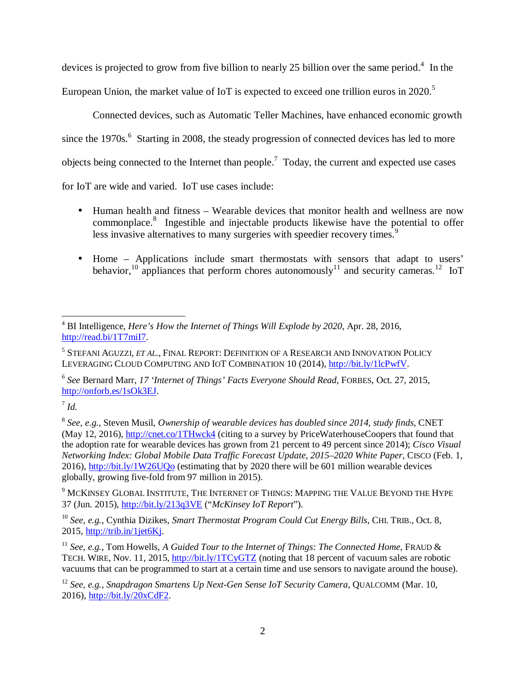devices is projected to grow from five billion to nearly 25 billion over the same period.<sup>4</sup> In the European Union, the market value of IoT is expected to exceed one trillion euros in 2020.<sup>5</sup>

Connected devices, such as Automatic Teller Machines, have enhanced economic growth since the 1970s.<sup>6</sup> Starting in 2008, the steady progression of connected devices has led to more objects being connected to the Internet than people.<sup>7</sup> Today, the current and expected use cases for IoT are wide and varied. IoT use cases include:

- Human health and fitness Wearable devices that monitor health and wellness are now commonplace.<sup>8</sup> Ingestible and injectable products likewise have the potential to offer less invasive alternatives to many surgeries with speedier recovery times.<sup>9</sup>
- Home Applications include smart thermostats with sensors that adapt to users' behavior,<sup>10</sup> appliances that perform chores autonomously<sup>11</sup> and security cameras.<sup>12</sup> IoT

6 *See* Bernard Marr, *17 'Internet of Things' Facts Everyone Should Read*, FORBES, Oct. 27, 2015, http://onforb.es/1sOk3EJ.

<sup>&</sup>lt;u>.</u> 4 BI Intelligence, *Here's How the Internet of Things Will Explode by 2020*, Apr. 28, 2016, http://read.bi/1T7miI7.

<sup>5</sup> STEFANI AGUZZI, *ET AL*., FINAL REPORT: DEFINITION OF A RESEARCH AND INNOVATION POLICY LEVERAGING CLOUD COMPUTING AND IOT COMBINATION 10 (2014), http://bit.ly/1lcPwfV.

<sup>7</sup> *Id.* 

<sup>8</sup> *See, e.g.*, Steven Musil, *Ownership of wearable devices has doubled since 2014, study finds*, CNET (May 12, 2016), http://cnet.co/1THwck4 (citing to a survey by PriceWaterhouseCoopers that found that the adoption rate for wearable devices has grown from 21 percent to 49 percent since 2014); *Cisco Visual Networking Index: Global Mobile Data Traffic Forecast Update, 2015–2020 White Paper*, CISCO (Feb. 1, 2016), http://bit.ly/1W26UQo (estimating that by 2020 there will be 601 million wearable devices globally, growing five-fold from 97 million in 2015).

 $^9$  McKinsey Global Institute, The Internet of Things: Mapping the Value Beyond the Hype 37 (Jun. 2015), http://bit.ly/213q3VE ("*McKinsey IoT Report*").

<sup>10</sup> *See, e.g.*, Cynthia Dizikes, *Smart Thermostat Program Could Cut Energy Bills*, CHI. TRIB., Oct. 8, 2015, http://trib.in/1jet6Kj.

<sup>11</sup> *See, e.g.*, Tom Howells, *A Guided Tour to the Internet of Things: The Connected Home*, FRAUD & TECH. WIRE, Nov. 11, 2015, http://bit.ly/1TCyGTZ (noting that 18 percent of vacuum sales are robotic vacuums that can be programmed to start at a certain time and use sensors to navigate around the house).

<sup>12</sup> *See, e.g.*, *Snapdragon Smartens Up Next-Gen Sense IoT Security Camera*, QUALCOMM (Mar. 10, 2016), http://bit.ly/20xCdF2.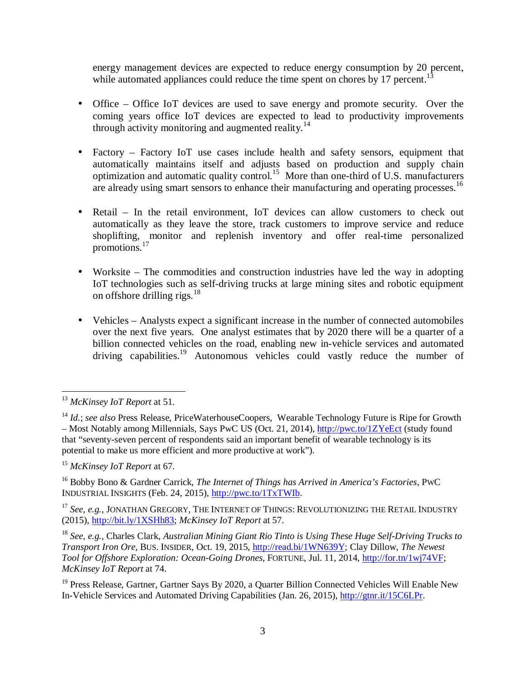energy management devices are expected to reduce energy consumption by 20 percent, while automated appliances could reduce the time spent on chores by 17 percent.<sup>13</sup>

- Office Office IoT devices are used to save energy and promote security. Over the coming years office IoT devices are expected to lead to productivity improvements through activity monitoring and augmented reality.<sup>14</sup>
- Factory Factory IoT use cases include health and safety sensors, equipment that automatically maintains itself and adjusts based on production and supply chain optimization and automatic quality control.<sup>15</sup> More than one-third of U.S. manufacturers are already using smart sensors to enhance their manufacturing and operating processes.<sup>16</sup>
- Retail In the retail environment, IoT devices can allow customers to check out automatically as they leave the store, track customers to improve service and reduce shoplifting, monitor and replenish inventory and offer real-time personalized promotions.<sup>1</sup>
- Worksite The commodities and construction industries have led the way in adopting IoT technologies such as self-driving trucks at large mining sites and robotic equipment on offshore drilling rigs. $18$
- Vehicles Analysts expect a significant increase in the number of connected automobiles over the next five years. One analyst estimates that by 2020 there will be a quarter of a billion connected vehicles on the road, enabling new in-vehicle services and automated driving capabilities.<sup>19</sup> Autonomous vehicles could vastly reduce the number of

<sup>15</sup> *McKinsey IoT Report* at 67.

<sup>16</sup> Bobby Bono & Gardner Carrick, *The Internet of Things has Arrived in America's Factories*, PWC INDUSTRIAL INSIGHTS (Feb. 24, 2015), http://pwc.to/1TxTWIb.

<sup>17</sup> See, e.g., JONATHAN GREGORY, THE INTERNET OF THINGS: REVOLUTIONIZING THE RETAIL INDUSTRY (2015), http://bit.ly/1XSHh83; *McKinsey IoT Report* at 57.

<sup>18</sup> *See, e.g.*, Charles Clark, *Australian Mining Giant Rio Tinto is Using These Huge Self-Driving Trucks to Transport Iron Ore,* BUS. INSIDER, Oct. 19, 2015, http://read.bi/1WN639Y; Clay Dillow, *The Newest Tool for Offshore Exploration: Ocean-Going Drones,* FORTUNE, Jul. 11, 2014, http://for.tn/1wj74VF; *McKinsey IoT Report* at 74.

<sup>19</sup> Press Release, Gartner, Gartner Says By 2020, a Quarter Billion Connected Vehicles Will Enable New In-Vehicle Services and Automated Driving Capabilities (Jan. 26, 2015), http://gtnr.it/15C6LPr.

 $\overline{a}$ <sup>13</sup> *McKinsey IoT Report* at 51.

<sup>&</sup>lt;sup>14</sup> *Id.*; *see also* Press Release, PriceWaterhouseCoopers, Wearable Technology Future is Ripe for Growth – Most Notably among Millennials, Says PwC US (Oct. 21, 2014), http://pwc.to/1ZYeEct (study found that "seventy-seven percent of respondents said an important benefit of wearable technology is its potential to make us more efficient and more productive at work").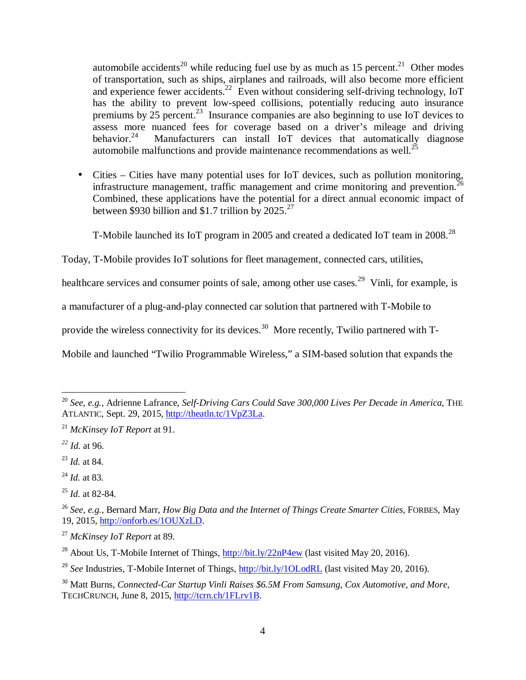automobile accidents<sup>20</sup> while reducing fuel use by as much as 15 percent.<sup>21</sup> Other modes of transportation, such as ships, airplanes and railroads, will also become more efficient and experience fewer accidents.<sup>22</sup> Even without considering self-driving technology, IoT has the ability to prevent low-speed collisions, potentially reducing auto insurance premiums by  $25$  percent.<sup>23</sup> Insurance companies are also beginning to use IoT devices to assess more nuanced fees for coverage based on a driver's mileage and driving<br>behavior.<sup>24</sup> Manufacturers can install IoT devices that automatically diagnose Manufacturers can install IoT devices that automatically diagnose automobile malfunctions and provide maintenance recommendations as well.<sup>25</sup>

• Cities – Cities have many potential uses for IoT devices, such as pollution monitoring, infrastructure management, traffic management and crime monitoring and prevention.<sup>2</sup> Combined, these applications have the potential for a direct annual economic impact of between \$930 billion and \$1.7 trillion by  $2025.<sup>27</sup>$ 

T-Mobile launched its IoT program in 2005 and created a dedicated IoT team in  $2008.<sup>28</sup>$ 

Today, T-Mobile provides IoT solutions for fleet management, connected cars, utilities,

healthcare services and consumer points of sale, among other use cases.<sup>29</sup> Vinli, for example, is

a manufacturer of a plug-and-play connected car solution that partnered with T-Mobile to

provide the wireless connectivity for its devices.<sup>30</sup> More recently, Twilio partnered with T-

Mobile and launched "Twilio Programmable Wireless," a SIM-based solution that expands the

 $\overline{a}$ 

<sup>25</sup> *Id.* at 82-84.

<sup>&</sup>lt;sup>20</sup> See, e.g., Adrienne Lafrance, *Self-Driving Cars Could Save 300,000 Lives Per Decade in America*, THE ATLANTIC, Sept. 29, 2015, http://theatln.tc/1VpZ3La.

<sup>21</sup> *McKinsey IoT Report* at 91.

*<sup>22</sup> Id.* at 96.

<sup>23</sup> *Id.* at 84.

<sup>24</sup> *Id.* at 83.

<sup>26</sup> *See, e.g.*, Bernard Marr, *How Big Data and the Internet of Things Create Smarter Cities,* FORBES, May 19, 2015, http://onforb.es/1OUXzLD.

<sup>27</sup> *McKinsey IoT Report* at 89.

<sup>&</sup>lt;sup>28</sup> About Us, T-Mobile Internet of Things,  $\frac{http://bit.ly/22nP4ew}{http://bit.ly/22nP4ew}$  (last visited May 20, 2016).

<sup>&</sup>lt;sup>29</sup> See Industries, T-Mobile Internet of Things, http://bit.ly/1QLodRL (last visited May 20, 2016).

<sup>30</sup> Matt Burns, *Connected-Car Startup Vinli Raises \$6.5M From Samsung, Cox Automotive, and More*, TECHCRUNCH, June 8, 2015, http://tcrn.ch/1FLrv1B.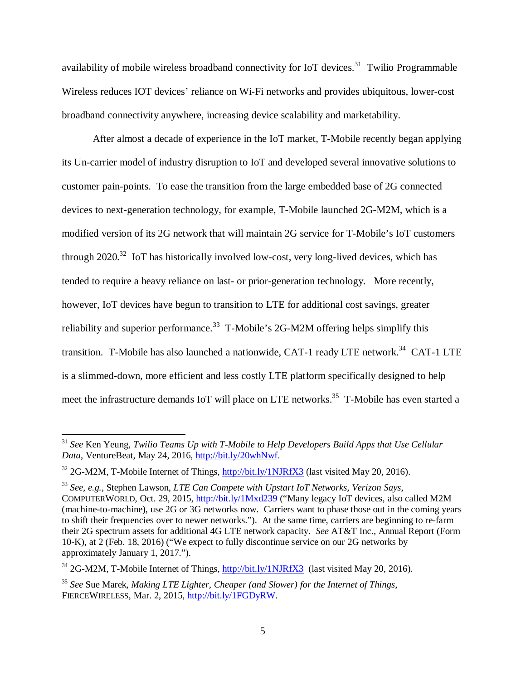availability of mobile wireless broadband connectivity for IoT devices.<sup>31</sup> Twilio Programmable Wireless reduces IOT devices' reliance on Wi-Fi networks and provides ubiquitous, lower-cost broadband connectivity anywhere, increasing device scalability and marketability.

After almost a decade of experience in the IoT market, T-Mobile recently began applying its Un-carrier model of industry disruption to IoT and developed several innovative solutions to customer pain-points. To ease the transition from the large embedded base of 2G connected devices to next-generation technology, for example, T-Mobile launched 2G-M2M, which is a modified version of its 2G network that will maintain 2G service for T-Mobile's IoT customers through  $2020^{32}$  IoT has historically involved low-cost, very long-lived devices, which has tended to require a heavy reliance on last- or prior-generation technology. More recently, however, IoT devices have begun to transition to LTE for additional cost savings, greater reliability and superior performance.<sup>33</sup> T-Mobile's 2G-M2M offering helps simplify this transition. T-Mobile has also launched a nationwide, CAT-1 ready LTE network.<sup>34</sup> CAT-1 LTE is a slimmed-down, more efficient and less costly LTE platform specifically designed to help meet the infrastructure demands IoT will place on LTE networks.<sup>35</sup> T-Mobile has even started a

<u>.</u>

<sup>31</sup> *See* Ken Yeung, *Twilio Teams Up with T-Mobile to Help Developers Build Apps that Use Cellular Data*, VentureBeat, May 24, 2016, http://bit.ly/20whNwf.

 $32$  2G-M2M, T-Mobile Internet of Things,  $\frac{http://bit.ly/1NJKfX3}{http://bit.ly/1NJKfX3}$  (last visited May 20, 2016).

<sup>33</sup> *See, e.g.*, Stephen Lawson, *LTE Can Compete with Upstart IoT Networks, Verizon Says*, COMPUTERWORLD, Oct. 29, 2015, http://bit.ly/1Mxd239 ("Many legacy IoT devices, also called M2M (machine-to-machine), use 2G or 3G networks now. Carriers want to phase those out in the coming years to shift their frequencies over to newer networks."). At the same time, carriers are beginning to re-farm their 2G spectrum assets for additional 4G LTE network capacity. *See* AT&T Inc., Annual Report (Form 10-K), at 2 (Feb. 18, 2016) ("We expect to fully discontinue service on our 2G networks by approximately January 1, 2017.").

 $34$  2G-M2M, T-Mobile Internet of Things, http://bit.ly/1NJRfX3 (last visited May 20, 2016).

<sup>35</sup> *See* Sue Marek, *Making LTE Lighter, Cheaper (and Slower) for the Internet of Things*, FIERCEWIRELESS, Mar. 2, 2015, http://bit.ly/1FGDyRW.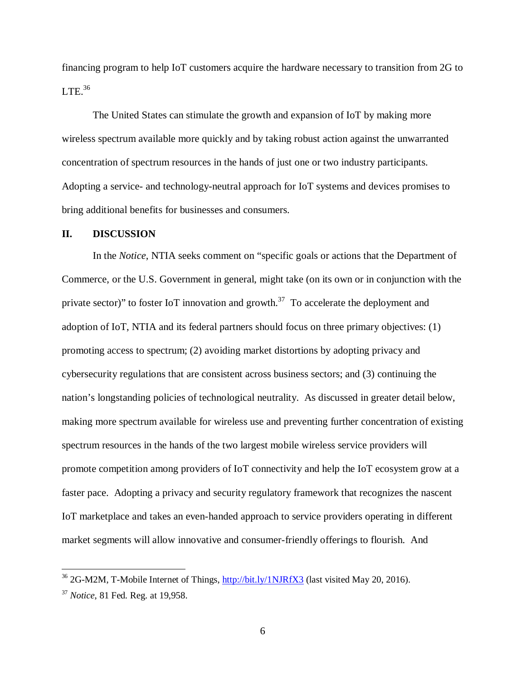financing program to help IoT customers acquire the hardware necessary to transition from 2G to  $LTE.^{36}$ 

The United States can stimulate the growth and expansion of IoT by making more wireless spectrum available more quickly and by taking robust action against the unwarranted concentration of spectrum resources in the hands of just one or two industry participants. Adopting a service- and technology-neutral approach for IoT systems and devices promises to bring additional benefits for businesses and consumers.

#### **II. DISCUSSION**

In the *Notice*, NTIA seeks comment on "specific goals or actions that the Department of Commerce, or the U.S. Government in general, might take (on its own or in conjunction with the private sector)" to foster IoT innovation and growth.<sup>37</sup> To accelerate the deployment and adoption of IoT, NTIA and its federal partners should focus on three primary objectives: (1) promoting access to spectrum; (2) avoiding market distortions by adopting privacy and cybersecurity regulations that are consistent across business sectors; and (3) continuing the nation's longstanding policies of technological neutrality. As discussed in greater detail below, making more spectrum available for wireless use and preventing further concentration of existing spectrum resources in the hands of the two largest mobile wireless service providers will promote competition among providers of IoT connectivity and help the IoT ecosystem grow at a faster pace. Adopting a privacy and security regulatory framework that recognizes the nascent IoT marketplace and takes an even-handed approach to service providers operating in different market segments will allow innovative and consumer-friendly offerings to flourish. And

<sup>&</sup>lt;sup>36</sup> 2G-M2M, T-Mobile Internet of Things, http://bit.ly/1NJRfX3 (last visited May 20, 2016).

<sup>37</sup> *Notice*, 81 Fed. Reg. at 19,958.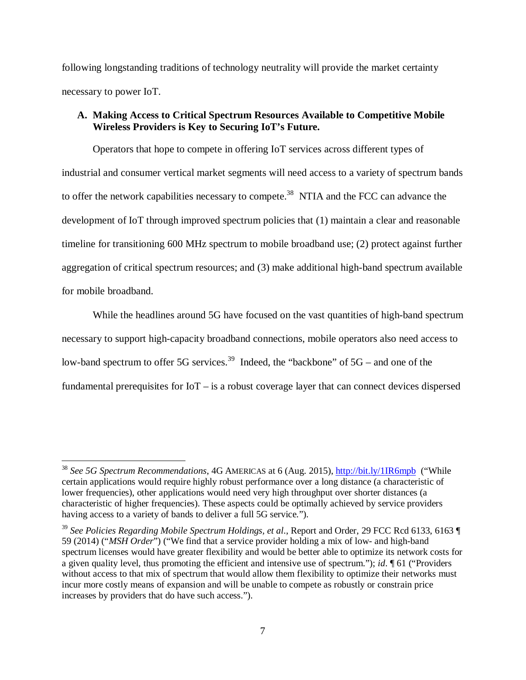following longstanding traditions of technology neutrality will provide the market certainty necessary to power IoT.

## **A. Making Access to Critical Spectrum Resources Available to Competitive Mobile Wireless Providers is Key to Securing IoT's Future.**

Operators that hope to compete in offering IoT services across different types of industrial and consumer vertical market segments will need access to a variety of spectrum bands to offer the network capabilities necessary to compete.<sup>38</sup> NTIA and the FCC can advance the development of IoT through improved spectrum policies that (1) maintain a clear and reasonable timeline for transitioning 600 MHz spectrum to mobile broadband use; (2) protect against further aggregation of critical spectrum resources; and (3) make additional high-band spectrum available for mobile broadband.

While the headlines around 5G have focused on the vast quantities of high-band spectrum necessary to support high-capacity broadband connections, mobile operators also need access to low-band spectrum to offer 5G services.<sup>39</sup> Indeed, the "backbone" of  $5G$  – and one of the fundamental prerequisites for IoT – is a robust coverage layer that can connect devices dispersed

<sup>38</sup> *See 5G Spectrum Recommendations*, 4G AMERICAS at 6 (Aug. 2015), http://bit.ly/1IR6mpb ("While certain applications would require highly robust performance over a long distance (a characteristic of lower frequencies), other applications would need very high throughput over shorter distances (a characteristic of higher frequencies). These aspects could be optimally achieved by service providers having access to a variety of bands to deliver a full 5G service.").

<sup>39</sup> *See Policies Regarding Mobile Spectrum Holdings, et al*., Report and Order, 29 FCC Rcd 6133, 6163 ¶ 59 (2014) ("*MSH Order*") ("We find that a service provider holding a mix of low- and high-band spectrum licenses would have greater flexibility and would be better able to optimize its network costs for a given quality level, thus promoting the efficient and intensive use of spectrum."); *id*. ¶ 61 ("Providers without access to that mix of spectrum that would allow them flexibility to optimize their networks must incur more costly means of expansion and will be unable to compete as robustly or constrain price increases by providers that do have such access.").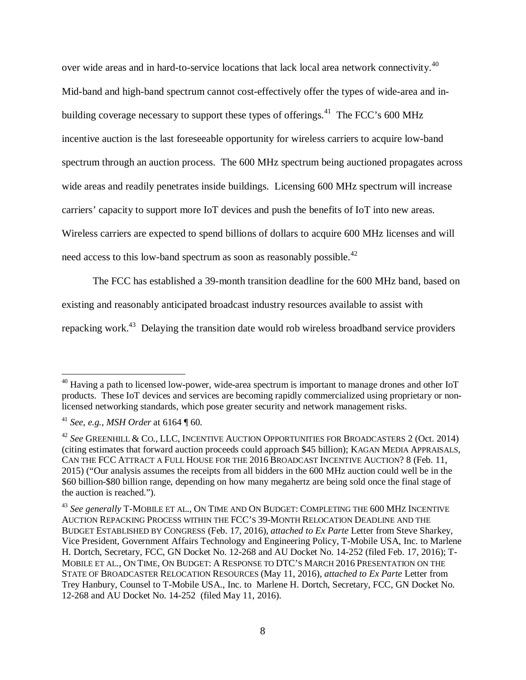over wide areas and in hard-to-service locations that lack local area network connectivity.<sup>40</sup> Mid-band and high-band spectrum cannot cost-effectively offer the types of wide-area and inbuilding coverage necessary to support these types of offerings.<sup>41</sup> The FCC's 600 MHz incentive auction is the last foreseeable opportunity for wireless carriers to acquire low-band spectrum through an auction process. The 600 MHz spectrum being auctioned propagates across wide areas and readily penetrates inside buildings. Licensing 600 MHz spectrum will increase carriers' capacity to support more IoT devices and push the benefits of IoT into new areas. Wireless carriers are expected to spend billions of dollars to acquire 600 MHz licenses and will need access to this low-band spectrum as soon as reasonably possible. $^{42}$ 

The FCC has established a 39-month transition deadline for the 600 MHz band, based on

existing and reasonably anticipated broadcast industry resources available to assist with

repacking work.<sup>43</sup> Delaying the transition date would rob wireless broadband service providers

<sup>&</sup>lt;sup>40</sup> Having a path to licensed low-power, wide-area spectrum is important to manage drones and other IoT products. These IoT devices and services are becoming rapidly commercialized using proprietary or nonlicensed networking standards, which pose greater security and network management risks.

<sup>41</sup> *See, e.g.*, *MSH Order* at 6164 ¶ 60.

<sup>42</sup> *See* GREENHILL & CO., LLC, INCENTIVE AUCTION OPPORTUNITIES FOR BROADCASTERS 2 (Oct. 2014) (citing estimates that forward auction proceeds could approach \$45 billion); KAGAN MEDIA APPRAISALS, CAN THE FCC ATTRACT A FULL HOUSE FOR THE 2016 BROADCAST INCENTIVE AUCTION? 8 (Feb. 11, 2015) ("Our analysis assumes the receipts from all bidders in the 600 MHz auction could well be in the \$60 billion-\$80 billion range, depending on how many megahertz are being sold once the final stage of the auction is reached.").

<sup>43</sup> *See generally* T-MOBILE ET AL., ON TIME AND ON BUDGET: COMPLETING THE 600 MHZ INCENTIVE AUCTION REPACKING PROCESS WITHIN THE FCC'S 39-MONTH RELOCATION DEADLINE AND THE BUDGET ESTABLISHED BY CONGRESS (Feb. 17, 2016), *attached to Ex Parte* Letter from Steve Sharkey, Vice President, Government Affairs Technology and Engineering Policy, T-Mobile USA, Inc. to Marlene H. Dortch, Secretary, FCC, GN Docket No. 12-268 and AU Docket No. 14-252 (filed Feb. 17, 2016); T-MOBILE ET AL., ON TIME, ON BUDGET: A RESPONSE TO DTC'S MARCH 2016 PRESENTATION ON THE STATE OF BROADCASTER RELOCATION RESOURCES (May 11, 2016), *attached to Ex Parte* Letter from Trey Hanbury, Counsel to T-Mobile USA., Inc. to Marlene H. Dortch, Secretary, FCC, GN Docket No. 12-268 and AU Docket No. 14-252 (filed May 11, 2016).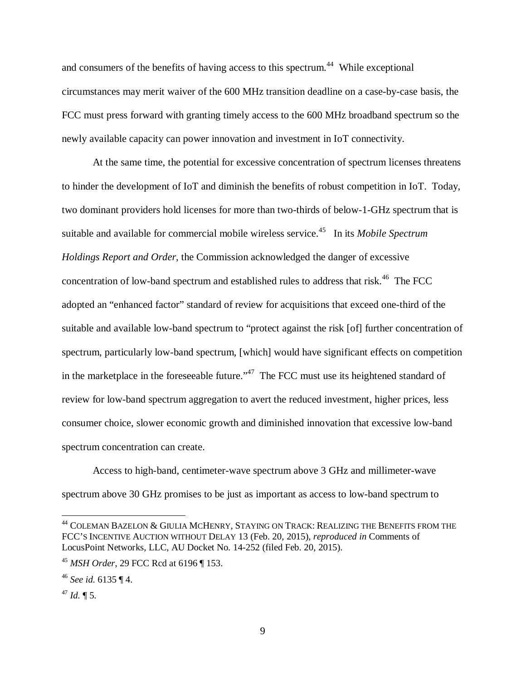and consumers of the benefits of having access to this spectrum.<sup>44</sup> While exceptional circumstances may merit waiver of the 600 MHz transition deadline on a case-by-case basis, the FCC must press forward with granting timely access to the 600 MHz broadband spectrum so the newly available capacity can power innovation and investment in IoT connectivity.

At the same time, the potential for excessive concentration of spectrum licenses threatens to hinder the development of IoT and diminish the benefits of robust competition in IoT. Today, two dominant providers hold licenses for more than two-thirds of below-1-GHz spectrum that is suitable and available for commercial mobile wireless service.<sup>45</sup> In its *Mobile Spectrum Holdings Report and Order*, the Commission acknowledged the danger of excessive concentration of low-band spectrum and established rules to address that risk.<sup>46</sup> The FCC adopted an "enhanced factor" standard of review for acquisitions that exceed one-third of the suitable and available low-band spectrum to "protect against the risk [of] further concentration of spectrum, particularly low-band spectrum, [which] would have significant effects on competition in the marketplace in the foreseeable future."<sup>47</sup> The FCC must use its heightened standard of review for low-band spectrum aggregation to avert the reduced investment, higher prices, less consumer choice, slower economic growth and diminished innovation that excessive low-band spectrum concentration can create.

Access to high-band, centimeter-wave spectrum above 3 GHz and millimeter-wave spectrum above 30 GHz promises to be just as important as access to low-band spectrum to

 $^{44}$  Coleman Bazelon & Giulia McHenry, Staying on Track: Realizing the Benefits from the FCC'S INCENTIVE AUCTION WITHOUT DELAY 13 (Feb. 20, 2015), *reproduced in* Comments of LocusPoint Networks, LLC, AU Docket No. 14-252 (filed Feb. 20, 2015).

<sup>45</sup> *MSH Order*, 29 FCC Rcd at 6196 ¶ 153.

<sup>46</sup> *See id.* 6135 ¶ 4.

 $47$  *Id.* ¶ 5.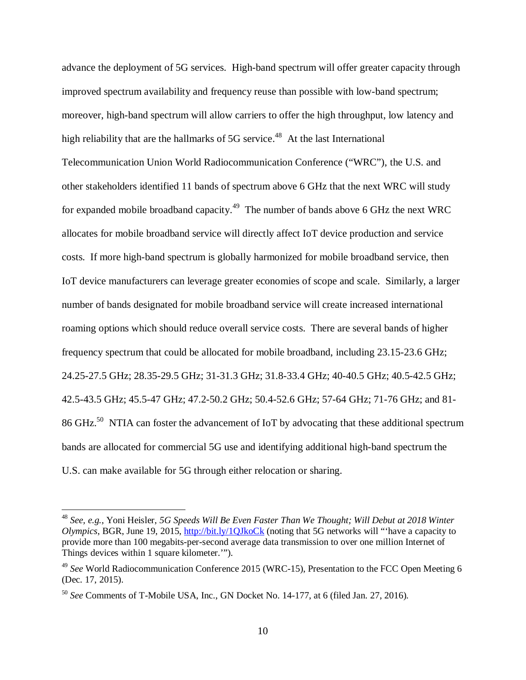advance the deployment of 5G services. High-band spectrum will offer greater capacity through improved spectrum availability and frequency reuse than possible with low-band spectrum; moreover, high-band spectrum will allow carriers to offer the high throughput, low latency and high reliability that are the hallmarks of  $5G$  service.<sup>48</sup> At the last International Telecommunication Union World Radiocommunication Conference ("WRC"), the U.S. and other stakeholders identified 11 bands of spectrum above 6 GHz that the next WRC will study for expanded mobile broadband capacity.<sup>49</sup> The number of bands above 6 GHz the next WRC allocates for mobile broadband service will directly affect IoT device production and service costs. If more high-band spectrum is globally harmonized for mobile broadband service, then IoT device manufacturers can leverage greater economies of scope and scale. Similarly, a larger number of bands designated for mobile broadband service will create increased international roaming options which should reduce overall service costs. There are several bands of higher frequency spectrum that could be allocated for mobile broadband, including 23.15-23.6 GHz; 24.25-27.5 GHz; 28.35-29.5 GHz; 31-31.3 GHz; 31.8-33.4 GHz; 40-40.5 GHz; 40.5-42.5 GHz; 42.5-43.5 GHz; 45.5-47 GHz; 47.2-50.2 GHz; 50.4-52.6 GHz; 57-64 GHz; 71-76 GHz; and 81- 86 GHz.<sup>50</sup> NTIA can foster the advancement of IoT by advocating that these additional spectrum bands are allocated for commercial 5G use and identifying additional high-band spectrum the U.S. can make available for 5G through either relocation or sharing.

<sup>48</sup> *See, e.g.*, Yoni Heisler, *5G Speeds Will Be Even Faster Than We Thought; Will Debut at 2018 Winter Olympics*, BGR, June 19, 2015, http://bit.ly/1QJkoCk (noting that 5G networks will "'have a capacity to provide more than 100 megabits-per-second average data transmission to over one million Internet of Things devices within 1 square kilometer.'").

<sup>49</sup> *See* World Radiocommunication Conference 2015 (WRC-15), Presentation to the FCC Open Meeting 6 (Dec. 17, 2015).

<sup>50</sup> *See* Comments of T-Mobile USA, Inc., GN Docket No. 14-177, at 6 (filed Jan. 27, 2016).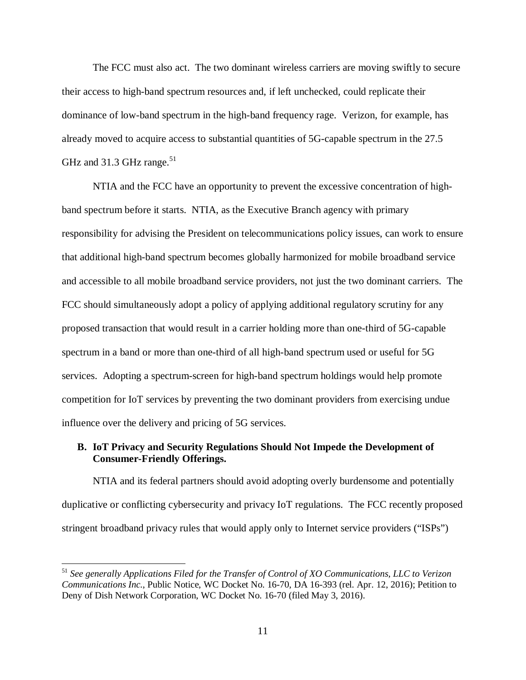The FCC must also act. The two dominant wireless carriers are moving swiftly to secure their access to high-band spectrum resources and, if left unchecked, could replicate their dominance of low-band spectrum in the high-band frequency rage. Verizon, for example, has already moved to acquire access to substantial quantities of 5G-capable spectrum in the 27.5 GHz and 31.3 GHz range.<sup>51</sup>

NTIA and the FCC have an opportunity to prevent the excessive concentration of highband spectrum before it starts. NTIA, as the Executive Branch agency with primary responsibility for advising the President on telecommunications policy issues, can work to ensure that additional high-band spectrum becomes globally harmonized for mobile broadband service and accessible to all mobile broadband service providers, not just the two dominant carriers. The FCC should simultaneously adopt a policy of applying additional regulatory scrutiny for any proposed transaction that would result in a carrier holding more than one-third of 5G-capable spectrum in a band or more than one-third of all high-band spectrum used or useful for 5G services. Adopting a spectrum-screen for high-band spectrum holdings would help promote competition for IoT services by preventing the two dominant providers from exercising undue influence over the delivery and pricing of 5G services.

## **B. IoT Privacy and Security Regulations Should Not Impede the Development of Consumer-Friendly Offerings.**

NTIA and its federal partners should avoid adopting overly burdensome and potentially duplicative or conflicting cybersecurity and privacy IoT regulations. The FCC recently proposed stringent broadband privacy rules that would apply only to Internet service providers ("ISPs")

<sup>51</sup> *See generally Applications Filed for the Transfer of Control of XO Communications, LLC to Verizon Communications Inc.*, Public Notice, WC Docket No. 16-70, DA 16-393 (rel. Apr. 12, 2016); Petition to Deny of Dish Network Corporation, WC Docket No. 16-70 (filed May 3, 2016).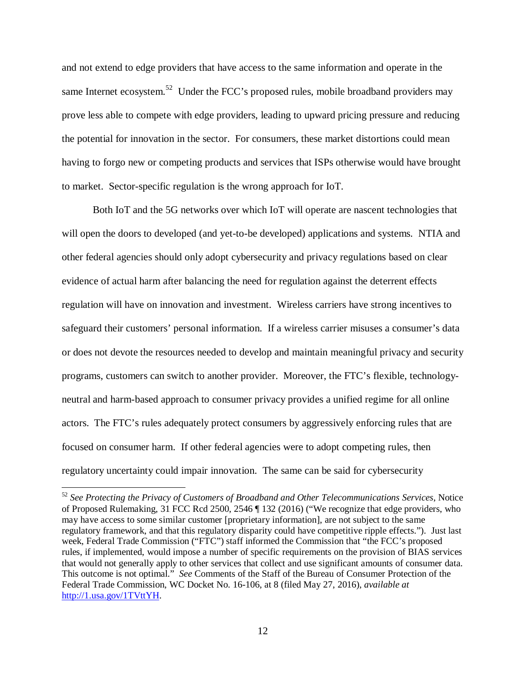and not extend to edge providers that have access to the same information and operate in the same Internet ecosystem.<sup>52</sup> Under the FCC's proposed rules, mobile broadband providers may prove less able to compete with edge providers, leading to upward pricing pressure and reducing the potential for innovation in the sector. For consumers, these market distortions could mean having to forgo new or competing products and services that ISPs otherwise would have brought to market. Sector-specific regulation is the wrong approach for IoT.

Both IoT and the 5G networks over which IoT will operate are nascent technologies that will open the doors to developed (and yet-to-be developed) applications and systems. NTIA and other federal agencies should only adopt cybersecurity and privacy regulations based on clear evidence of actual harm after balancing the need for regulation against the deterrent effects regulation will have on innovation and investment. Wireless carriers have strong incentives to safeguard their customers' personal information. If a wireless carrier misuses a consumer's data or does not devote the resources needed to develop and maintain meaningful privacy and security programs, customers can switch to another provider. Moreover, the FTC's flexible, technologyneutral and harm-based approach to consumer privacy provides a unified regime for all online actors. The FTC's rules adequately protect consumers by aggressively enforcing rules that are focused on consumer harm. If other federal agencies were to adopt competing rules, then regulatory uncertainty could impair innovation. The same can be said for cybersecurity

-

<sup>52</sup> *See Protecting the Privacy of Customers of Broadband and Other Telecommunications Services*, Notice of Proposed Rulemaking, 31 FCC Rcd 2500, 2546 ¶ 132 (2016) ("We recognize that edge providers, who may have access to some similar customer [proprietary information], are not subject to the same regulatory framework, and that this regulatory disparity could have competitive ripple effects."). Just last week, Federal Trade Commission ("FTC") staff informed the Commission that "the FCC's proposed rules, if implemented, would impose a number of specific requirements on the provision of BIAS services that would not generally apply to other services that collect and use significant amounts of consumer data. This outcome is not optimal." *See* Comments of the Staff of the Bureau of Consumer Protection of the Federal Trade Commission, WC Docket No. 16-106, at 8 (filed May 27, 2016), *available at* http://1.usa.gov/1TVttYH.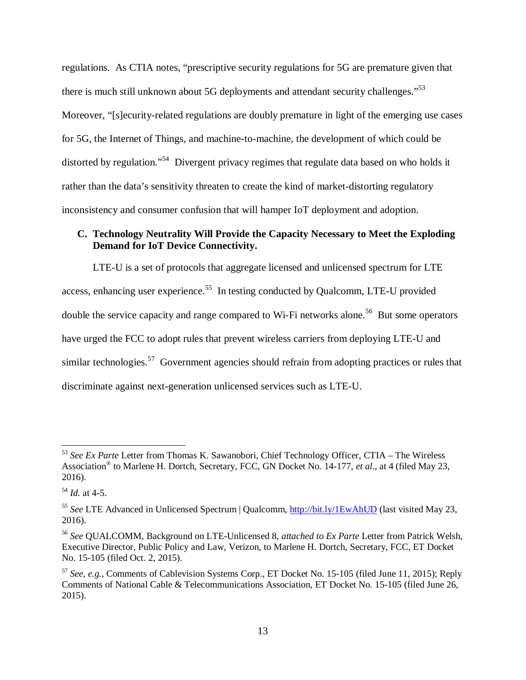regulations. As CTIA notes, "prescriptive security regulations for 5G are premature given that there is much still unknown about 5G deployments and attendant security challenges."<sup>53</sup> Moreover, "[s]ecurity-related regulations are doubly premature in light of the emerging use cases for 5G, the Internet of Things, and machine-to-machine, the development of which could be distorted by regulation."<sup>54</sup> Divergent privacy regimes that regulate data based on who holds it rather than the data's sensitivity threaten to create the kind of market-distorting regulatory inconsistency and consumer confusion that will hamper IoT deployment and adoption.

## **C. Technology Neutrality Will Provide the Capacity Necessary to Meet the Exploding Demand for IoT Device Connectivity.**

LTE-U is a set of protocols that aggregate licensed and unlicensed spectrum for LTE access, enhancing user experience.<sup>55</sup> In testing conducted by Qualcomm, LTE-U provided double the service capacity and range compared to Wi-Fi networks alone.<sup>56</sup> But some operators have urged the FCC to adopt rules that prevent wireless carriers from deploying LTE-U and similar technologies.<sup>57</sup> Government agencies should refrain from adopting practices or rules that discriminate against next-generation unlicensed services such as LTE-U.

<sup>53</sup> *See Ex Parte* Letter from Thomas K. Sawanobori, Chief Technology Officer, CTIA – The Wireless Association® to Marlene H. Dortch, Secretary, FCC, GN Docket No. 14-177, *et al*., at 4 (filed May 23, 2016).

<sup>54</sup> *Id.* at 4-5.

<sup>55</sup> *See* LTE Advanced in Unlicensed Spectrum | Qualcomm, http://bit.ly/1EwAhUD (last visited May 23, 2016).

<sup>56</sup> *See* QUALCOMM, Background on LTE-Unlicensed 8, *attached to Ex Parte* Letter from Patrick Welsh, Executive Director, Public Policy and Law, Verizon, to Marlene H. Dortch, Secretary, FCC, ET Docket No. 15-105 (filed Oct. 2, 2015).

<sup>57</sup> *See, e.g.*, Comments of Cablevision Systems Corp., ET Docket No. 15-105 (filed June 11, 2015); Reply Comments of National Cable & Telecommunications Association, ET Docket No. 15-105 (filed June 26, 2015).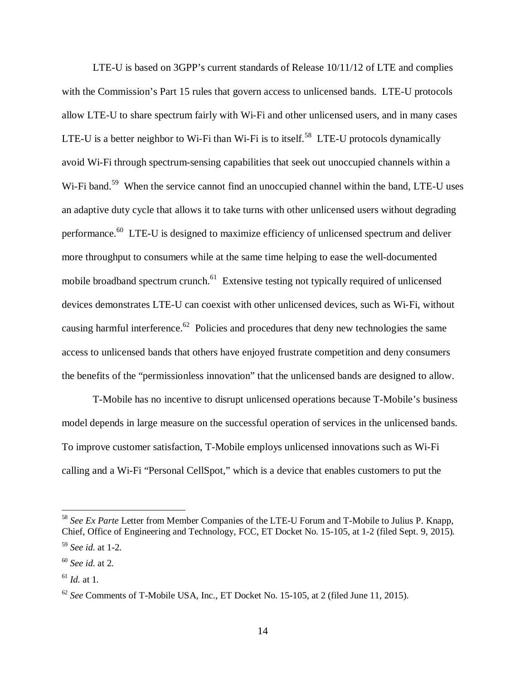LTE-U is based on 3GPP's current standards of Release 10/11/12 of LTE and complies with the Commission's Part 15 rules that govern access to unlicensed bands. LTE-U protocols allow LTE-U to share spectrum fairly with Wi-Fi and other unlicensed users, and in many cases LTE-U is a better neighbor to Wi-Fi than Wi-Fi is to itself.<sup>58</sup> LTE-U protocols dynamically avoid Wi-Fi through spectrum-sensing capabilities that seek out unoccupied channels within a Wi-Fi band.<sup>59</sup> When the service cannot find an unoccupied channel within the band, LTE-U uses an adaptive duty cycle that allows it to take turns with other unlicensed users without degrading performance.<sup>60</sup> LTE-U is designed to maximize efficiency of unlicensed spectrum and deliver more throughput to consumers while at the same time helping to ease the well-documented mobile broadband spectrum crunch.<sup>61</sup> Extensive testing not typically required of unlicensed devices demonstrates LTE-U can coexist with other unlicensed devices, such as Wi-Fi, without causing harmful interference.<sup>62</sup> Policies and procedures that deny new technologies the same access to unlicensed bands that others have enjoyed frustrate competition and deny consumers the benefits of the "permissionless innovation" that the unlicensed bands are designed to allow.

T-Mobile has no incentive to disrupt unlicensed operations because T-Mobile's business model depends in large measure on the successful operation of services in the unlicensed bands. To improve customer satisfaction, T-Mobile employs unlicensed innovations such as Wi-Fi calling and a Wi-Fi "Personal CellSpot," which is a device that enables customers to put the

-

<sup>58</sup> *See Ex Parte* Letter from Member Companies of the LTE-U Forum and T-Mobile to Julius P. Knapp, Chief, Office of Engineering and Technology, FCC, ET Docket No. 15-105, at 1-2 (filed Sept. 9, 2015).

<sup>59</sup> *See id.* at 1-2.

<sup>60</sup> *See id.* at 2.

 $^{61}$  *Id.* at 1.

 $62$  *See* Comments of T-Mobile USA, Inc., ET Docket No. 15-105, at 2 (filed June 11, 2015).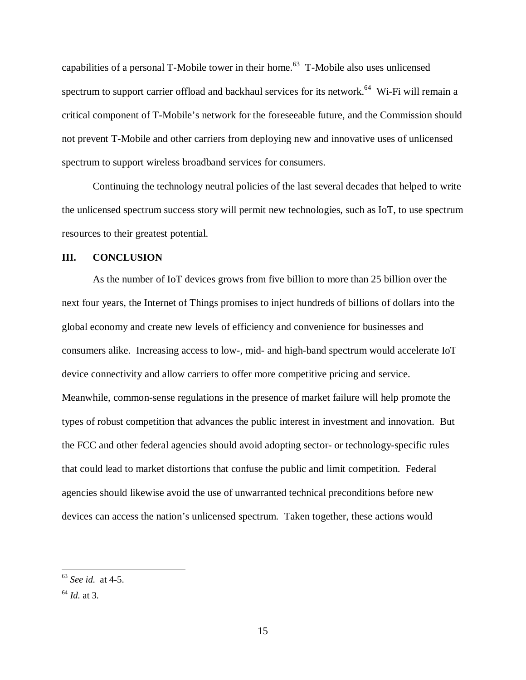capabilities of a personal T-Mobile tower in their home.<sup>63</sup> T-Mobile also uses unlicensed spectrum to support carrier offload and backhaul services for its network.<sup>64</sup> Wi-Fi will remain a critical component of T-Mobile's network for the foreseeable future, and the Commission should not prevent T-Mobile and other carriers from deploying new and innovative uses of unlicensed spectrum to support wireless broadband services for consumers.

Continuing the technology neutral policies of the last several decades that helped to write the unlicensed spectrum success story will permit new technologies, such as IoT, to use spectrum resources to their greatest potential.

#### **III. CONCLUSION**

 As the number of IoT devices grows from five billion to more than 25 billion over the next four years, the Internet of Things promises to inject hundreds of billions of dollars into the global economy and create new levels of efficiency and convenience for businesses and consumers alike. Increasing access to low-, mid- and high-band spectrum would accelerate IoT device connectivity and allow carriers to offer more competitive pricing and service. Meanwhile, common-sense regulations in the presence of market failure will help promote the types of robust competition that advances the public interest in investment and innovation. But the FCC and other federal agencies should avoid adopting sector- or technology-specific rules that could lead to market distortions that confuse the public and limit competition. Federal agencies should likewise avoid the use of unwarranted technical preconditions before new devices can access the nation's unlicensed spectrum. Taken together, these actions would

<sup>63</sup> *See id.* at 4-5.

<sup>64</sup> *Id.* at 3.